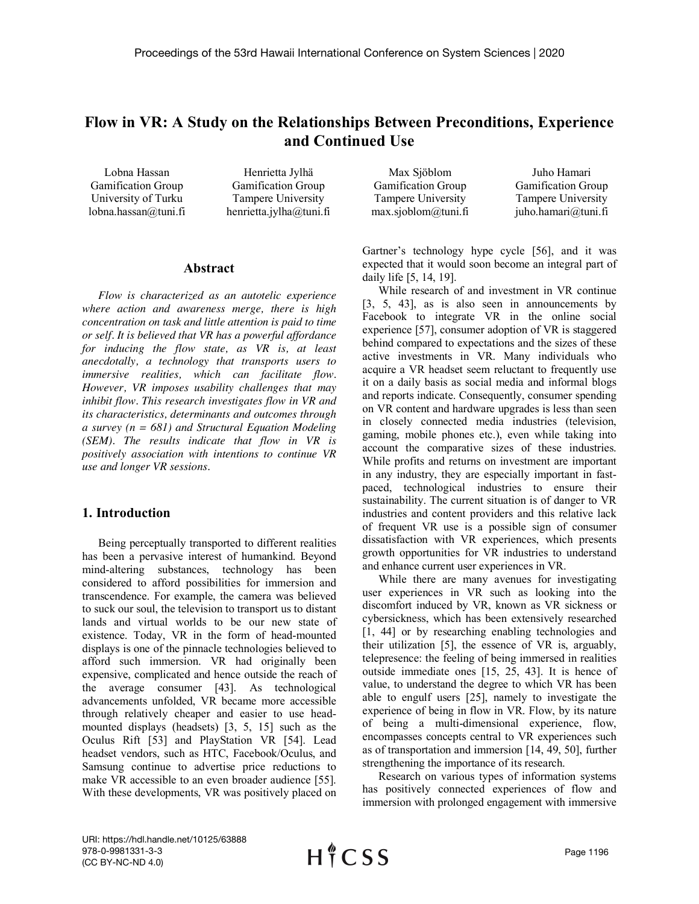# **Flow in VR: A Study on the Relationships Between Preconditions, Experience and Continued Use**

Lobna Hassan Gamification Group University of Turku lobna.hassan@tuni.fi

Henrietta Jylhä Gamification Group Tampere University henrietta.jylha@tuni.fi

Max Sjöblom Gamification Group Tampere University max.sjoblom@tuni.fi

Juho Hamari Gamification Group Tampere University juho.hamari@tuni.fi

#### **Abstract**

*Flow is characterized as an autotelic experience where action and awareness merge, there is high concentration on task and little attention is paid to time or self. It is believed that VR has a powerful affordance for inducing the flow state, as VR is, at least anecdotally, a technology that transports users to immersive realities, which can facilitate flow. However, VR imposes usability challenges that may inhibit flow. This research investigates flow in VR and its characteristics, determinants and outcomes through a survey (n = 681) and Structural Equation Modeling (SEM). The results indicate that flow in VR is positively association with intentions to continue VR use and longer VR sessions.*

#### **1. Introduction**

Being perceptually transported to different realities has been a pervasive interest of humankind. Beyond mind-altering substances, technology has been considered to afford possibilities for immersion and transcendence. For example, the camera was believed to suck our soul, the television to transport us to distant lands and virtual worlds to be our new state of existence. Today, VR in the form of head-mounted displays is one of the pinnacle technologies believed to afford such immersion. VR had originally been expensive, complicated and hence outside the reach of the average consumer [43]. As technological advancements unfolded, VR became more accessible through relatively cheaper and easier to use headmounted displays (headsets) [3, 5, 15] such as the Oculus Rift [53] and PlayStation VR [54]. Lead headset vendors, such as HTC, Facebook/Oculus, and Samsung continue to advertise price reductions to make VR accessible to an even broader audience [55]. With these developments, VR was positively placed on Gartner's technology hype cycle [56], and it was expected that it would soon become an integral part of daily life [5, 14, 19].

While research of and investment in VR continue [3, 5, 43], as is also seen in announcements by Facebook to integrate VR in the online social experience [57], consumer adoption of VR is staggered behind compared to expectations and the sizes of these active investments in VR. Many individuals who acquire a VR headset seem reluctant to frequently use it on a daily basis as social media and informal blogs and reports indicate. Consequently, consumer spending on VR content and hardware upgrades is less than seen in closely connected media industries (television, gaming, mobile phones etc.), even while taking into account the comparative sizes of these industries. While profits and returns on investment are important in any industry, they are especially important in fastpaced, technological industries to ensure their sustainability. The current situation is of danger to VR industries and content providers and this relative lack of frequent VR use is a possible sign of consumer dissatisfaction with VR experiences, which presents growth opportunities for VR industries to understand and enhance current user experiences in VR.

While there are many avenues for investigating user experiences in VR such as looking into the discomfort induced by VR, known as VR sickness or cybersickness, which has been extensively researched [1, 44] or by researching enabling technologies and their utilization [5], the essence of VR is, arguably, telepresence: the feeling of being immersed in realities outside immediate ones [15, 25, 43]. It is hence of value, to understand the degree to which VR has been able to engulf users [25], namely to investigate the experience of being in flow in VR. Flow, by its nature of being a multi-dimensional experience, flow, encompasses concepts central to VR experiences such as of transportation and immersion [14, 49, 50], further strengthening the importance of its research.

Research on various types of information systems has positively connected experiences of flow and immersion with prolonged engagement with immersive

URI: https://hdl.handle.net/10125/63888 978-0-9981331-3-3 (CC BY-NC-ND 4.0)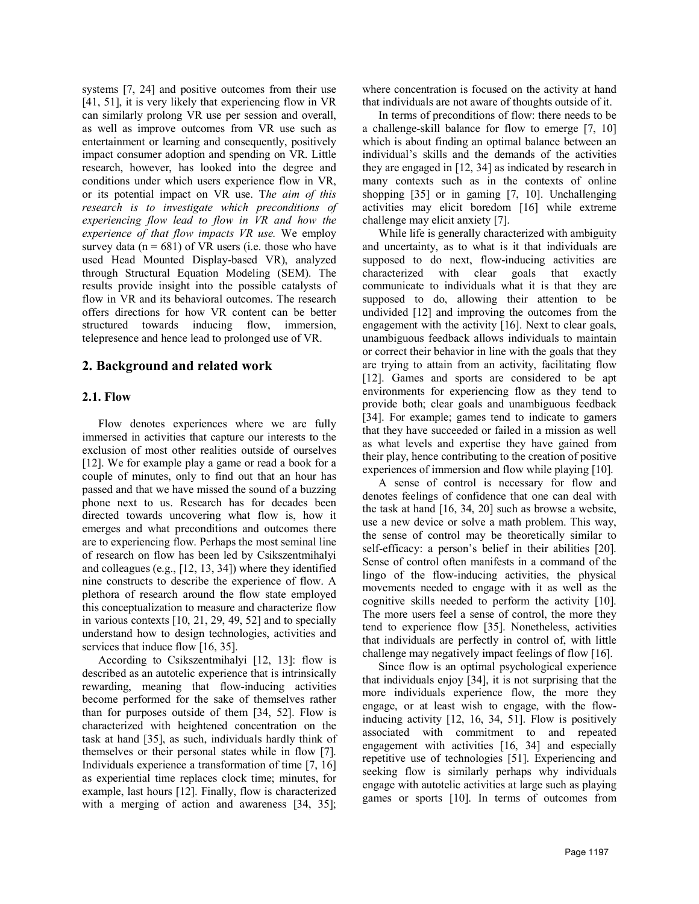systems [7, 24] and positive outcomes from their use [41, 51], it is very likely that experiencing flow in VR can similarly prolong VR use per session and overall, as well as improve outcomes from VR use such as entertainment or learning and consequently, positively impact consumer adoption and spending on VR. Little research, however, has looked into the degree and conditions under which users experience flow in VR, or its potential impact on VR use. T*he aim of this research is to investigate which preconditions of experiencing flow lead to flow in VR and how the experience of that flow impacts VR use.* We employ survey data ( $n = 681$ ) of VR users (i.e. those who have used Head Mounted Display-based VR), analyzed through Structural Equation Modeling (SEM). The results provide insight into the possible catalysts of flow in VR and its behavioral outcomes. The research offers directions for how VR content can be better structured towards inducing flow, immersion, telepresence and hence lead to prolonged use of VR.

# **2. Background and related work**

### **2.1. Flow**

Flow denotes experiences where we are fully immersed in activities that capture our interests to the exclusion of most other realities outside of ourselves [12]. We for example play a game or read a book for a couple of minutes, only to find out that an hour has passed and that we have missed the sound of a buzzing phone next to us. Research has for decades been directed towards uncovering what flow is, how it emerges and what preconditions and outcomes there are to experiencing flow. Perhaps the most seminal line of research on flow has been led by Csikszentmihalyi and colleagues (e.g., [12, 13, 34]) where they identified nine constructs to describe the experience of flow. A plethora of research around the flow state employed this conceptualization to measure and characterize flow in various contexts [10, 21, 29, 49, 52] and to specially understand how to design technologies, activities and services that induce flow [16, 35].

According to Csikszentmihalyi [12, 13]: flow is described as an autotelic experience that is intrinsically rewarding, meaning that flow-inducing activities become performed for the sake of themselves rather than for purposes outside of them [34, 52]. Flow is characterized with heightened concentration on the task at hand [35], as such, individuals hardly think of themselves or their personal states while in flow [7]. Individuals experience a transformation of time [7, 16] as experiential time replaces clock time; minutes, for example, last hours [12]. Finally, flow is characterized with a merging of action and awareness [34, 35];

where concentration is focused on the activity at hand that individuals are not aware of thoughts outside of it.

In terms of preconditions of flow: there needs to be a challenge-skill balance for flow to emerge [7, 10] which is about finding an optimal balance between an individual's skills and the demands of the activities they are engaged in [12, 34] as indicated by research in many contexts such as in the contexts of online shopping [35] or in gaming [7, 10]. Unchallenging activities may elicit boredom [16] while extreme challenge may elicit anxiety [7].

While life is generally characterized with ambiguity and uncertainty, as to what is it that individuals are supposed to do next, flow-inducing activities are characterized with clear goals that exactly communicate to individuals what it is that they are supposed to do, allowing their attention to be undivided [12] and improving the outcomes from the engagement with the activity [16]. Next to clear goals, unambiguous feedback allows individuals to maintain or correct their behavior in line with the goals that they are trying to attain from an activity, facilitating flow [12]. Games and sports are considered to be apt environments for experiencing flow as they tend to provide both; clear goals and unambiguous feedback [34]. For example; games tend to indicate to gamers that they have succeeded or failed in a mission as well as what levels and expertise they have gained from their play, hence contributing to the creation of positive experiences of immersion and flow while playing [10].

A sense of control is necessary for flow and denotes feelings of confidence that one can deal with the task at hand [16, 34, 20] such as browse a website, use a new device or solve a math problem. This way, the sense of control may be theoretically similar to self-efficacy: a person's belief in their abilities [20]. Sense of control often manifests in a command of the lingo of the flow-inducing activities, the physical movements needed to engage with it as well as the cognitive skills needed to perform the activity [10]. The more users feel a sense of control, the more they tend to experience flow [35]. Nonetheless, activities that individuals are perfectly in control of, with little challenge may negatively impact feelings of flow [16].

Since flow is an optimal psychological experience that individuals enjoy [34], it is not surprising that the more individuals experience flow, the more they engage, or at least wish to engage, with the flowinducing activity [12, 16, 34, 51]. Flow is positively associated with commitment to and repeated engagement with activities [16, 34] and especially repetitive use of technologies [51]. Experiencing and seeking flow is similarly perhaps why individuals engage with autotelic activities at large such as playing games or sports [10]. In terms of outcomes from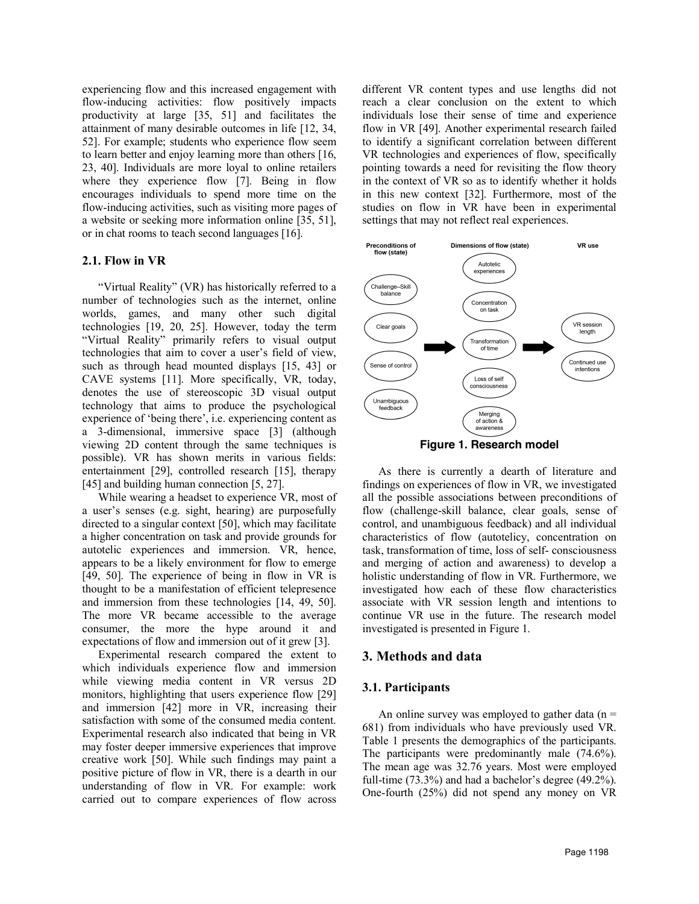experiencing flow and this increased engagement with flow-inducing activities: flow positively impacts productivity at large [35, 51] and facilitates the attainment of many desirable outcomes in life [12, 34, 52]. For example; students who experience flow seem to learn better and enjoy learning more than others [16, 23, 40]. Individuals are more loyal to online retailers where they experience flow [7]. Being in flow encourages individuals to spend more time on the flow-inducing activities, such as visiting more pages of a website or seeking more information online [35, 51], or in chat rooms to teach second languages [16].

### **2.1. Flow in VR**

"Virtual Reality" (VR) has historically referred to a number of technologies such as the internet, online worlds, games, and many other such digital technologies [19, 20, 25]. However, today the term "Virtual Reality" primarily refers to visual output technologies that aim to cover a user's field of view, such as through head mounted displays [15, 43] or CAVE systems [11]. More specifically, VR, today, denotes the use of stereoscopic 3D visual output technology that aims to produce the psychological experience of 'being there', i.e. experiencing content as a 3-dimensional, immersive space [3] (although viewing 2D content through the same techniques is possible). VR has shown merits in various fields: entertainment [29], controlled research [15], therapy [45] and building human connection [5, 27].

While wearing a headset to experience VR, most of a user's senses (e.g. sight, hearing) are purposefully directed to a singular context [50], which may facilitate a higher concentration on task and provide grounds for autotelic experiences and immersion. VR, hence, appears to be a likely environment for flow to emerge [49, 50]. The experience of being in flow in VR is thought to be a manifestation of efficient telepresence and immersion from these technologies [14, 49, 50]. The more VR became accessible to the average consumer, the more the hype around it and expectations of flow and immersion out of it grew [3].

Experimental research compared the extent to which individuals experience flow and immersion while viewing media content in VR versus 2D monitors, highlighting that users experience flow [29] and immersion [42] more in VR, increasing their satisfaction with some of the consumed media content. Experimental research also indicated that being in VR may foster deeper immersive experiences that improve creative work [50]. While such findings may paint a positive picture of flow in VR, there is a dearth in our understanding of flow in VR. For example: work carried out to compare experiences of flow across

different VR content types and use lengths did not reach a clear conclusion on the extent to which individuals lose their sense of time and experience flow in VR [49]. Another experimental research failed to identify a significant correlation between different VR technologies and experiences of flow, specifically pointing towards a need for revisiting the flow theory in the context of VR so as to identify whether it holds in this new context [32]. Furthermore, most of the studies on flow in VR have been in experimental settings that may not reflect real experiences.



As there is currently a dearth of literature and findings on experiences of flow in VR, we investigated all the possible associations between preconditions of flow (challenge-skill balance, clear goals, sense of control, and unambiguous feedback) and all individual characteristics of flow (autotelicy, concentration on task, transformation of time, loss of self- consciousness and merging of action and awareness) to develop a holistic understanding of flow in VR. Furthermore, we investigated how each of these flow characteristics associate with VR session length and intentions to continue VR use in the future. The research model investigated is presented in Figure 1.

#### **3. Methods and data**

#### **3.1. Participants**

An online survey was employed to gather data  $(n =$ 681) from individuals who have previously used VR. Table 1 presents the demographics of the participants. The participants were predominantly male (74.6%). The mean age was 32.76 years. Most were employed full-time (73.3%) and had a bachelor's degree (49.2%). One-fourth (25%) did not spend any money on VR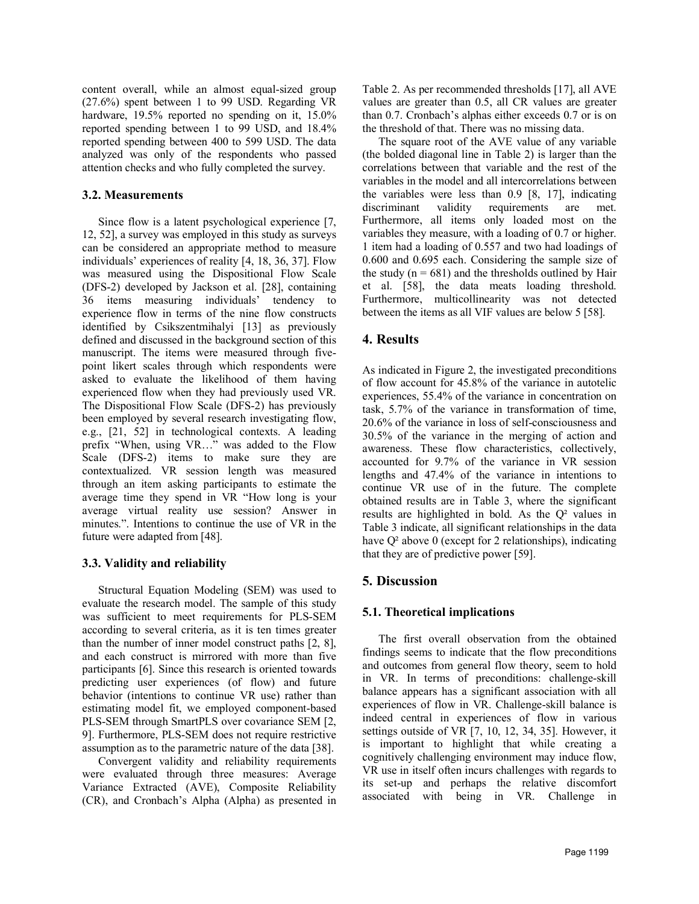content overall, while an almost equal-sized group (27.6%) spent between 1 to 99 USD. Regarding VR hardware, 19.5% reported no spending on it, 15.0% reported spending between 1 to 99 USD, and 18.4% reported spending between 400 to 599 USD. The data analyzed was only of the respondents who passed attention checks and who fully completed the survey.

### **3.2. Measurements**

Since flow is a latent psychological experience [7, 12, 52], a survey was employed in this study as surveys can be considered an appropriate method to measure individuals' experiences of reality [4, 18, 36, 37]. Flow was measured using the Dispositional Flow Scale (DFS-2) developed by Jackson et al. [28], containing 36 items measuring individuals' tendency to experience flow in terms of the nine flow constructs identified by Csikszentmihalyi [13] as previously defined and discussed in the background section of this manuscript. The items were measured through fivepoint likert scales through which respondents were asked to evaluate the likelihood of them having experienced flow when they had previously used VR. The Dispositional Flow Scale (DFS-2) has previously been employed by several research investigating flow, e.g., [21, 52] in technological contexts. A leading prefix "When, using VR…" was added to the Flow Scale (DFS-2) items to make sure they are contextualized. VR session length was measured through an item asking participants to estimate the average time they spend in VR "How long is your average virtual reality use session? Answer in minutes.". Intentions to continue the use of VR in the future were adapted from [48].

# **3.3. Validity and reliability**

Structural Equation Modeling (SEM) was used to evaluate the research model. The sample of this study was sufficient to meet requirements for PLS-SEM according to several criteria, as it is ten times greater than the number of inner model construct paths [2, 8], and each construct is mirrored with more than five participants [6]. Since this research is oriented towards predicting user experiences (of flow) and future behavior (intentions to continue VR use) rather than estimating model fit, we employed component-based PLS-SEM through SmartPLS over covariance SEM [2, 9]. Furthermore, PLS-SEM does not require restrictive assumption as to the parametric nature of the data [38].

Convergent validity and reliability requirements were evaluated through three measures: Average Variance Extracted (AVE), Composite Reliability (CR), and Cronbach's Alpha (Alpha) as presented in Table 2. As per recommended thresholds [17], all AVE values are greater than 0.5, all CR values are greater than 0.7. Cronbach's alphas either exceeds 0.7 or is on the threshold of that. There was no missing data.

The square root of the AVE value of any variable (the bolded diagonal line in Table 2) is larger than the correlations between that variable and the rest of the variables in the model and all intercorrelations between the variables were less than 0.9 [8, 17], indicating discriminant validity requirements are met. Furthermore, all items only loaded most on the variables they measure, with a loading of 0.7 or higher. 1 item had a loading of 0.557 and two had loadings of 0.600 and 0.695 each. Considering the sample size of the study  $(n = 681)$  and the thresholds outlined by Hair et al. [58], the data meats loading threshold. Furthermore, multicollinearity was not detected between the items as all VIF values are below 5 [58].

# **4. Results**

As indicated in Figure 2, the investigated preconditions of flow account for 45.8% of the variance in autotelic experiences, 55.4% of the variance in concentration on task, 5.7% of the variance in transformation of time, 20.6% of the variance in loss of self-consciousness and 30.5% of the variance in the merging of action and awareness. These flow characteristics, collectively, accounted for 9.7% of the variance in VR session lengths and 47.4% of the variance in intentions to continue VR use of in the future. The complete obtained results are in Table 3, where the significant results are highlighted in bold. As the Q² values in Table 3 indicate, all significant relationships in the data have  $Q^2$  above 0 (except for 2 relationships), indicating that they are of predictive power [59].

# **5. Discussion**

# **5.1. Theoretical implications**

The first overall observation from the obtained findings seems to indicate that the flow preconditions and outcomes from general flow theory, seem to hold in VR. In terms of preconditions: challenge-skill balance appears has a significant association with all experiences of flow in VR. Challenge-skill balance is indeed central in experiences of flow in various settings outside of VR [7, 10, 12, 34, 35]. However, it is important to highlight that while creating a cognitively challenging environment may induce flow, VR use in itself often incurs challenges with regards to its set-up and perhaps the relative discomfort associated with being in VR. Challenge in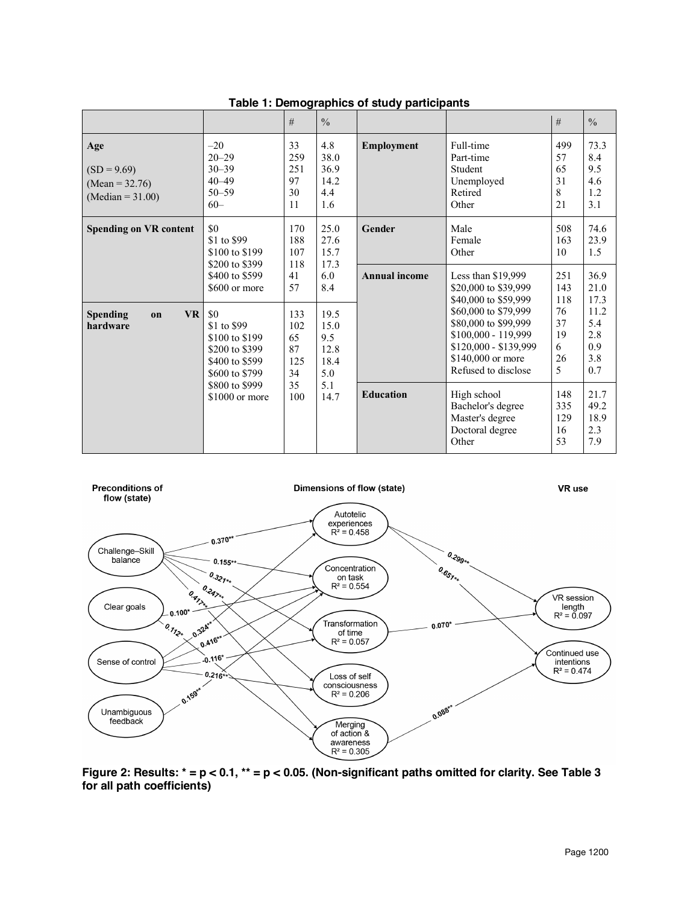|                                                                 |                                                                                            | #                                   | $\frac{0}{0}$                              |                      |                                                                                                                                          | #                                | $\frac{0}{0}$                           |
|-----------------------------------------------------------------|--------------------------------------------------------------------------------------------|-------------------------------------|--------------------------------------------|----------------------|------------------------------------------------------------------------------------------------------------------------------------------|----------------------------------|-----------------------------------------|
| Age<br>$(SD = 9.69)$<br>$(Mean = 32.76)$<br>(Median = $31.00$ ) | $-20$<br>$20 - 29$<br>$30 - 39$<br>$40 - 49$<br>$50 - 59$<br>$60 -$                        | 33<br>259<br>251<br>97<br>30<br>11  | 4.8<br>38.0<br>36.9<br>14.2<br>4.4<br>1.6  | Employment           | Full-time<br>Part-time<br>Student<br>Unemployed<br>Retired<br>Other                                                                      | 499<br>57<br>65<br>31<br>8<br>21 | 73.3<br>8.4<br>9.5<br>4.6<br>1.2<br>3.1 |
| <b>Spending on VR content</b>                                   | \$0<br>\$1 to \$99<br>\$100 to \$199<br>\$200 to \$399                                     | 170<br>188<br>107<br>118            | 25.0<br>27.6<br>15.7<br>17.3               | Gender               | Male<br>Female<br>Other                                                                                                                  | 508<br>163<br>10                 | 74.6<br>23.9<br>1.5                     |
|                                                                 | \$400 to \$599<br>\$600 or more                                                            | 41<br>57                            | 6.0<br>8.4                                 | <b>Annual income</b> | Less than \$19,999<br>\$20,000 to \$39,999<br>\$40,000 to \$59,999                                                                       | 251<br>143<br>118                | 36.9<br>21.0<br>17.3                    |
| <b>VR</b><br><b>Spending</b><br>$\mathbf{on}$<br>hardware       | \$0<br>\$1 to \$99<br>\$100 to \$199<br>\$200 to \$399<br>\$400 to \$599<br>\$600 to \$799 | 133<br>102<br>65<br>87<br>125<br>34 | 19.5<br>15.0<br>9.5<br>12.8<br>18.4<br>5.0 |                      | \$60,000 to \$79,999<br>\$80,000 to \$99,999<br>\$100,000 - 119,999<br>\$120,000 - \$139,999<br>\$140,000 or more<br>Refused to disclose | 76<br>37<br>19<br>6<br>26<br>5   | 11.2<br>5.4<br>2.8<br>0.9<br>3.8<br>0.7 |
|                                                                 | 35<br>\$800 to \$999<br>100<br>\$1000 or more                                              |                                     | 5.1<br>14.7                                | <b>Education</b>     | High school<br>Bachelor's degree<br>Master's degree<br>Doctoral degree<br>Other                                                          | 148<br>335<br>129<br>16<br>53    | 21.7<br>49.2<br>18.9<br>2.3<br>7.9      |

### **Table 1: Demographics of study participants**



**Figure 2: Results: \* = p < 0.1, \*\* = p < 0.05. (Non-significant paths omitted for clarity. See Table 3 for all path coefficients)**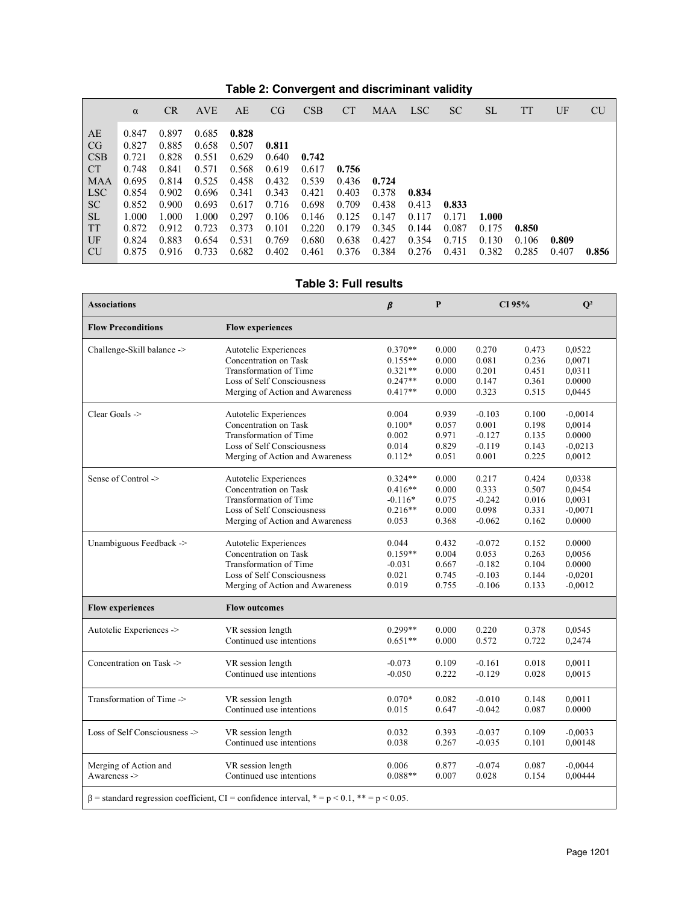|  |  | Table 2: Convergent and discriminant validity |  |
|--|--|-----------------------------------------------|--|
|--|--|-----------------------------------------------|--|

|                                                                                                              | $\alpha$                                                                                        | CR                                                                                              | <b>AVE</b>                                                                                      | AE                                                                                              | CG.                                                                                    | <b>CSB</b>                                                                    | <b>CT</b>                                                            | MAA                                                         | LSC <sup>1</sup>                                   | <b>SC</b>                                 | SL                               | TT                      | UF             | <b>CU</b> |
|--------------------------------------------------------------------------------------------------------------|-------------------------------------------------------------------------------------------------|-------------------------------------------------------------------------------------------------|-------------------------------------------------------------------------------------------------|-------------------------------------------------------------------------------------------------|----------------------------------------------------------------------------------------|-------------------------------------------------------------------------------|----------------------------------------------------------------------|-------------------------------------------------------------|----------------------------------------------------|-------------------------------------------|----------------------------------|-------------------------|----------------|-----------|
| AE<br>CG<br><b>CSB</b><br>CT<br>MAA<br>LSC <sup>1</sup><br><b>SC</b><br><b>SL</b><br><b>TT</b><br>UF<br>  CU | 0.847<br>0.827<br>0.721<br>0.748<br>0.695<br>0.854<br>0.852<br>1.000<br>0.872<br>0.824<br>0.875 | 0.897<br>0.885<br>0.828<br>0.841<br>0.814<br>0.902<br>0.900<br>1.000<br>0.912<br>0.883<br>0.916 | 0.685<br>0.658<br>0.551<br>0.571<br>0.525<br>0.696<br>0.693<br>1.000<br>0.723<br>0.654<br>0.733 | 0.828<br>0.507<br>0.629<br>0.568<br>0.458<br>0.341<br>0.617<br>0.297<br>0.373<br>0.531<br>0.682 | 0.811<br>0.640<br>0.619<br>0.432<br>0.343<br>0.716<br>0.106<br>0.101<br>0.769<br>0.402 | 0.742<br>0.617<br>0.539<br>0.421<br>0.698<br>0.146<br>0.220<br>0.680<br>0.461 | 0.756<br>0.436<br>0.403<br>0.709<br>0.125<br>0.179<br>0.638<br>0.376 | 0.724<br>0.378<br>0.438<br>0.147<br>0.345<br>0.427<br>0.384 | 0.834<br>0.413<br>0.117<br>0.144<br>0.354<br>0.276 | 0.833<br>0.171<br>0.087<br>0.715<br>0.431 | 1.000<br>0.175<br>0.130<br>0.382 | 0.850<br>0.106<br>0.285 | 0.809<br>0.407 | 0.856     |

# **Table 3: Full results**

| <b>Associations</b>           |                                                                                                  | β         | P     | CI 95%   |       | $Q^2$     |  |
|-------------------------------|--------------------------------------------------------------------------------------------------|-----------|-------|----------|-------|-----------|--|
| <b>Flow Preconditions</b>     | <b>Flow experiences</b>                                                                          |           |       |          |       |           |  |
| Challenge-Skill balance ->    | Autotelic Experiences                                                                            | $0.370**$ | 0.000 | 0.270    | 0.473 | 0,0522    |  |
|                               | Concentration on Task                                                                            | $0.155**$ | 0.000 | 0.081    | 0.236 | 0,0071    |  |
|                               | Transformation of Time                                                                           | $0.321**$ | 0.000 | 0.201    | 0.451 | 0.0311    |  |
|                               | Loss of Self Consciousness                                                                       | $0.247**$ | 0.000 | 0.147    | 0.361 | 0.0000    |  |
|                               | Merging of Action and Awareness                                                                  | $0.417**$ | 0.000 | 0.323    | 0.515 | 0,0445    |  |
| Clear Goals ->                | Autotelic Experiences                                                                            | 0.004     | 0.939 | $-0.103$ | 0.100 | $-0.0014$ |  |
|                               | Concentration on Task                                                                            | $0.100*$  | 0.057 | 0.001    | 0.198 | 0,0014    |  |
|                               | Transformation of Time                                                                           | 0.002     | 0.971 | $-0.127$ | 0.135 | 0.0000    |  |
|                               | Loss of Self Consciousness                                                                       | 0.014     | 0.829 | $-0.119$ | 0.143 | $-0,0213$ |  |
|                               | Merging of Action and Awareness                                                                  | $0.112*$  | 0.051 | 0.001    | 0.225 | 0,0012    |  |
| Sense of Control ->           | Autotelic Experiences                                                                            | $0.324**$ | 0.000 | 0.217    | 0.424 | 0,0338    |  |
|                               | Concentration on Task                                                                            | $0.416**$ | 0.000 | 0.333    | 0.507 | 0,0454    |  |
|                               | Transformation of Time                                                                           | $-0.116*$ | 0.075 | $-0.242$ | 0.016 | 0,0031    |  |
|                               | Loss of Self Consciousness                                                                       | $0.216**$ | 0.000 | 0.098    | 0.331 | $-0,0071$ |  |
|                               | Merging of Action and Awareness                                                                  | 0.053     | 0.368 | $-0.062$ | 0.162 | 0.0000    |  |
| Unambiguous Feedback ->       | Autotelic Experiences                                                                            | 0.044     | 0.432 | $-0.072$ | 0.152 | 0.0000    |  |
|                               | Concentration on Task                                                                            | $0.159**$ | 0.004 | 0.053    | 0.263 | 0,0056    |  |
|                               | Transformation of Time                                                                           | $-0.031$  | 0.667 | $-0.182$ | 0.104 | 0.0000    |  |
|                               | Loss of Self Consciousness                                                                       | 0.021     | 0.745 | $-0.103$ | 0.144 | $-0.0201$ |  |
|                               | Merging of Action and Awareness                                                                  | 0.019     | 0.755 | $-0.106$ | 0.133 | $-0,0012$ |  |
| <b>Flow experiences</b>       | <b>Flow outcomes</b>                                                                             |           |       |          |       |           |  |
| Autotelic Experiences ->      | VR session length                                                                                | $0.299**$ | 0.000 | 0.220    | 0.378 | 0,0545    |  |
|                               | Continued use intentions                                                                         | $0.651**$ | 0.000 | 0.572    | 0.722 | 0,2474    |  |
| Concentration on Task ->      | VR session length                                                                                |           | 0.109 | $-0.161$ | 0.018 | 0,0011    |  |
|                               | Continued use intentions                                                                         |           | 0.222 | $-0.129$ | 0.028 | 0,0015    |  |
| Transformation of Time ->     | VR session length                                                                                | $0.070*$  | 0.082 | $-0.010$ | 0.148 | 0,0011    |  |
|                               | Continued use intentions                                                                         | 0.015     | 0.647 | $-0.042$ | 0.087 | 0.0000    |  |
| Loss of Self Consciousness -> | VR session length                                                                                | 0.032     | 0.393 | $-0.037$ | 0.109 | $-0.0033$ |  |
|                               | Continued use intentions                                                                         | 0.038     | 0.267 | $-0.035$ | 0.101 | 0,00148   |  |
| Merging of Action and         | VR session length                                                                                | 0.006     | 0.877 | $-0.074$ | 0.087 | $-0.0044$ |  |
| Awareness ->                  | Continued use intentions                                                                         | $0.088**$ | 0.007 | 0.028    | 0.154 | 0,00444   |  |
|                               | $\beta$ = standard regression coefficient, CI = confidence interval, * = p < 0.1, ** = p < 0.05. |           |       |          |       |           |  |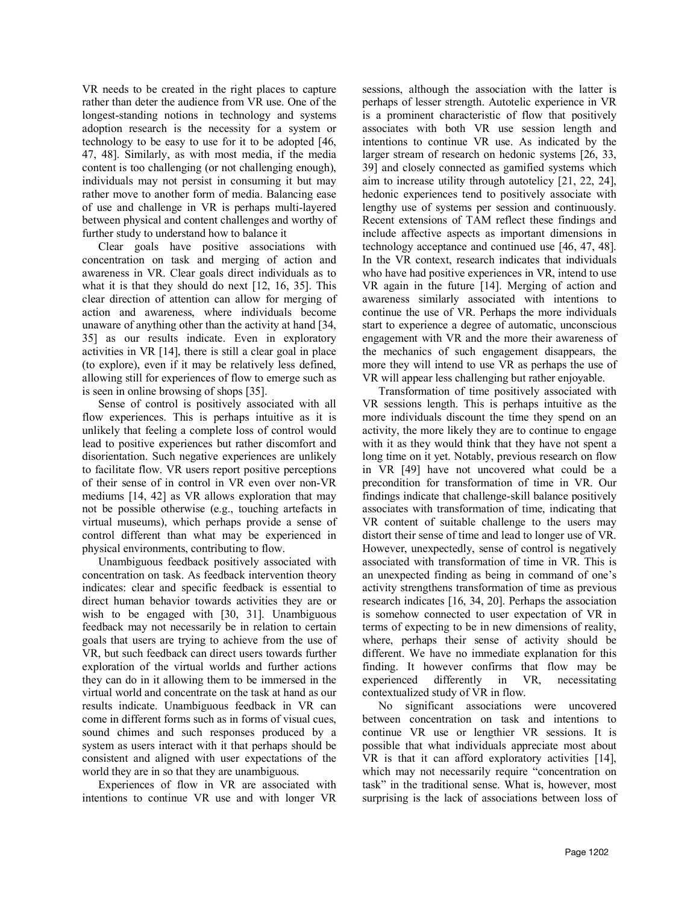VR needs to be created in the right places to capture rather than deter the audience from VR use. One of the longest-standing notions in technology and systems adoption research is the necessity for a system or technology to be easy to use for it to be adopted [46, 47, 48]. Similarly, as with most media, if the media content is too challenging (or not challenging enough), individuals may not persist in consuming it but may rather move to another form of media. Balancing ease of use and challenge in VR is perhaps multi-layered between physical and content challenges and worthy of further study to understand how to balance it

Clear goals have positive associations with concentration on task and merging of action and awareness in VR. Clear goals direct individuals as to what it is that they should do next [12, 16, 35]. This clear direction of attention can allow for merging of action and awareness, where individuals become unaware of anything other than the activity at hand [34, 35] as our results indicate. Even in exploratory activities in VR [14], there is still a clear goal in place (to explore), even if it may be relatively less defined, allowing still for experiences of flow to emerge such as is seen in online browsing of shops [35].

Sense of control is positively associated with all flow experiences. This is perhaps intuitive as it is unlikely that feeling a complete loss of control would lead to positive experiences but rather discomfort and disorientation. Such negative experiences are unlikely to facilitate flow. VR users report positive perceptions of their sense of in control in VR even over non-VR mediums [14, 42] as VR allows exploration that may not be possible otherwise (e.g., touching artefacts in virtual museums), which perhaps provide a sense of control different than what may be experienced in physical environments, contributing to flow.

Unambiguous feedback positively associated with concentration on task. As feedback intervention theory indicates: clear and specific feedback is essential to direct human behavior towards activities they are or wish to be engaged with [30, 31]. Unambiguous feedback may not necessarily be in relation to certain goals that users are trying to achieve from the use of VR, but such feedback can direct users towards further exploration of the virtual worlds and further actions they can do in it allowing them to be immersed in the virtual world and concentrate on the task at hand as our results indicate. Unambiguous feedback in VR can come in different forms such as in forms of visual cues, sound chimes and such responses produced by a system as users interact with it that perhaps should be consistent and aligned with user expectations of the world they are in so that they are unambiguous.

Experiences of flow in VR are associated with intentions to continue VR use and with longer VR sessions, although the association with the latter is perhaps of lesser strength. Autotelic experience in VR is a prominent characteristic of flow that positively associates with both VR use session length and intentions to continue VR use. As indicated by the larger stream of research on hedonic systems [26, 33, 39] and closely connected as gamified systems which aim to increase utility through autotelicy [21, 22, 24], hedonic experiences tend to positively associate with lengthy use of systems per session and continuously. Recent extensions of TAM reflect these findings and include affective aspects as important dimensions in technology acceptance and continued use [46, 47, 48]. In the VR context, research indicates that individuals who have had positive experiences in VR, intend to use VR again in the future [14]. Merging of action and awareness similarly associated with intentions to continue the use of VR. Perhaps the more individuals start to experience a degree of automatic, unconscious engagement with VR and the more their awareness of the mechanics of such engagement disappears, the more they will intend to use VR as perhaps the use of VR will appear less challenging but rather enjoyable.

Transformation of time positively associated with VR sessions length. This is perhaps intuitive as the more individuals discount the time they spend on an activity, the more likely they are to continue to engage with it as they would think that they have not spent a long time on it yet. Notably, previous research on flow in VR [49] have not uncovered what could be a precondition for transformation of time in VR. Our findings indicate that challenge-skill balance positively associates with transformation of time, indicating that VR content of suitable challenge to the users may distort their sense of time and lead to longer use of VR. However, unexpectedly, sense of control is negatively associated with transformation of time in VR. This is an unexpected finding as being in command of one's activity strengthens transformation of time as previous research indicates [16, 34, 20]. Perhaps the association is somehow connected to user expectation of VR in terms of expecting to be in new dimensions of reality, where, perhaps their sense of activity should be different. We have no immediate explanation for this finding. It however confirms that flow may be experienced differently in VR, necessitating contextualized study of VR in flow.

No significant associations were uncovered between concentration on task and intentions to continue VR use or lengthier VR sessions. It is possible that what individuals appreciate most about VR is that it can afford exploratory activities [14], which may not necessarily require "concentration on task" in the traditional sense. What is, however, most surprising is the lack of associations between loss of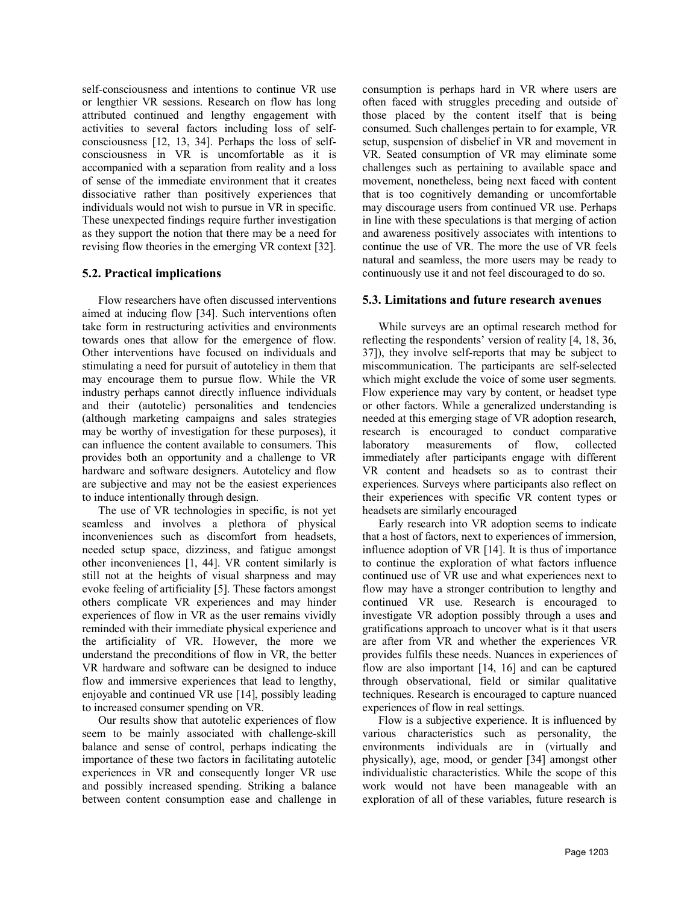self-consciousness and intentions to continue VR use or lengthier VR sessions. Research on flow has long attributed continued and lengthy engagement with activities to several factors including loss of selfconsciousness [12, 13, 34]. Perhaps the loss of selfconsciousness in VR is uncomfortable as it is accompanied with a separation from reality and a loss of sense of the immediate environment that it creates dissociative rather than positively experiences that individuals would not wish to pursue in VR in specific. These unexpected findings require further investigation as they support the notion that there may be a need for revising flow theories in the emerging VR context [32].

### **5.2. Practical implications**

Flow researchers have often discussed interventions aimed at inducing flow [34]. Such interventions often take form in restructuring activities and environments towards ones that allow for the emergence of flow. Other interventions have focused on individuals and stimulating a need for pursuit of autotelicy in them that may encourage them to pursue flow. While the VR industry perhaps cannot directly influence individuals and their (autotelic) personalities and tendencies (although marketing campaigns and sales strategies may be worthy of investigation for these purposes), it can influence the content available to consumers. This provides both an opportunity and a challenge to VR hardware and software designers. Autotelicy and flow are subjective and may not be the easiest experiences to induce intentionally through design.

The use of VR technologies in specific, is not yet seamless and involves a plethora of physical inconveniences such as discomfort from headsets, needed setup space, dizziness, and fatigue amongst other inconveniences [1, 44]. VR content similarly is still not at the heights of visual sharpness and may evoke feeling of artificiality [5]. These factors amongst others complicate VR experiences and may hinder experiences of flow in VR as the user remains vividly reminded with their immediate physical experience and the artificiality of VR. However, the more we understand the preconditions of flow in VR, the better VR hardware and software can be designed to induce flow and immersive experiences that lead to lengthy, enjoyable and continued VR use [14], possibly leading to increased consumer spending on VR.

Our results show that autotelic experiences of flow seem to be mainly associated with challenge-skill balance and sense of control, perhaps indicating the importance of these two factors in facilitating autotelic experiences in VR and consequently longer VR use and possibly increased spending. Striking a balance between content consumption ease and challenge in

consumption is perhaps hard in VR where users are often faced with struggles preceding and outside of those placed by the content itself that is being consumed. Such challenges pertain to for example, VR setup, suspension of disbelief in VR and movement in VR. Seated consumption of VR may eliminate some challenges such as pertaining to available space and movement, nonetheless, being next faced with content that is too cognitively demanding or uncomfortable may discourage users from continued VR use. Perhaps in line with these speculations is that merging of action and awareness positively associates with intentions to continue the use of VR. The more the use of VR feels natural and seamless, the more users may be ready to continuously use it and not feel discouraged to do so.

#### **5.3. Limitations and future research avenues**

While surveys are an optimal research method for reflecting the respondents' version of reality [4, 18, 36, 37]), they involve self-reports that may be subject to miscommunication. The participants are self-selected which might exclude the voice of some user segments. Flow experience may vary by content, or headset type or other factors. While a generalized understanding is needed at this emerging stage of VR adoption research, research is encouraged to conduct comparative laboratory measurements of flow, collected immediately after participants engage with different VR content and headsets so as to contrast their experiences. Surveys where participants also reflect on their experiences with specific VR content types or headsets are similarly encouraged

Early research into VR adoption seems to indicate that a host of factors, next to experiences of immersion, influence adoption of VR [14]. It is thus of importance to continue the exploration of what factors influence continued use of VR use and what experiences next to flow may have a stronger contribution to lengthy and continued VR use. Research is encouraged to investigate VR adoption possibly through a uses and gratifications approach to uncover what is it that users are after from VR and whether the experiences VR provides fulfils these needs. Nuances in experiences of flow are also important [14, 16] and can be captured through observational, field or similar qualitative techniques. Research is encouraged to capture nuanced experiences of flow in real settings.

Flow is a subjective experience. It is influenced by various characteristics such as personality, the environments individuals are in (virtually and physically), age, mood, or gender [34] amongst other individualistic characteristics. While the scope of this work would not have been manageable with an exploration of all of these variables, future research is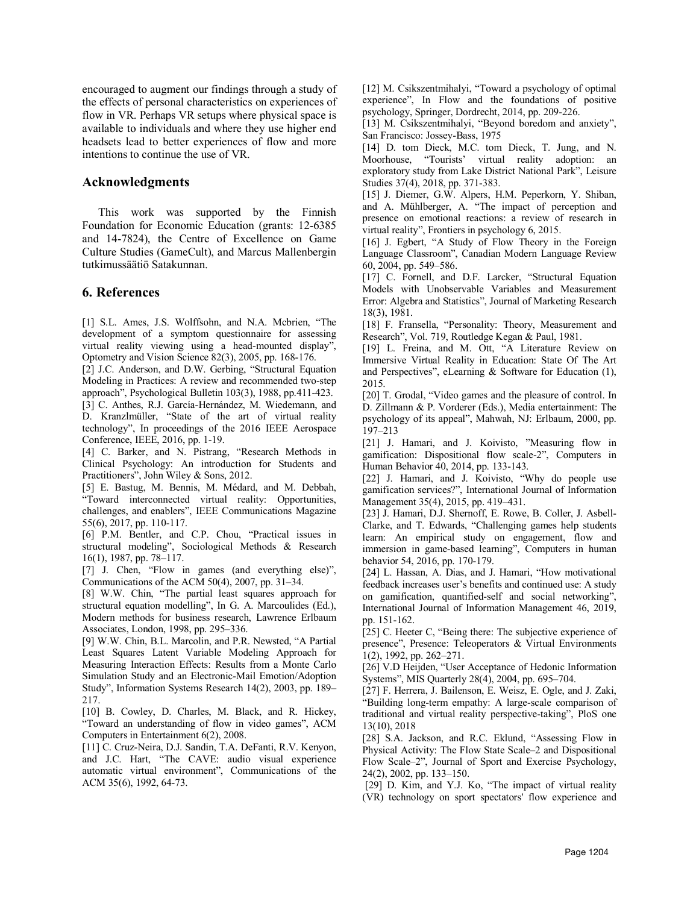encouraged to augment our findings through a study of the effects of personal characteristics on experiences of flow in VR. Perhaps VR setups where physical space is available to individuals and where they use higher end headsets lead to better experiences of flow and more intentions to continue the use of VR.

### **Acknowledgments**

This work was supported by the Finnish Foundation for Economic Education (grants: 12-6385 and 14-7824), the Centre of Excellence on Game Culture Studies (GameCult), and Marcus Mallenbergin tutkimussäätiö Satakunnan.

### **6. References**

[1] S.L. Ames, J.S. Wolffsohn, and N.A. Mcbrien, "The development of a symptom questionnaire for assessing virtual reality viewing using a head-mounted display", Optometry and Vision Science 82(3), 2005, pp. 168-176.

[2] J.C. Anderson, and D.W. Gerbing, "Structural Equation Modeling in Practices: A review and recommended two-step approach", Psychological Bulletin 103(3), 1988, pp.411-423.

[3] C. Anthes, R.J. García-Hernández, M. Wiedemann, and D. Kranzlmüller, "State of the art of virtual reality technology", In proceedings of the 2016 IEEE Aerospace Conference, IEEE, 2016, pp. 1-19.

[4] C. Barker, and N. Pistrang, "Research Methods in Clinical Psychology: An introduction for Students and Practitioners", John Wiley & Sons, 2012.

[5] E. Bastug, M. Bennis, M. Médard, and M. Debbah, "Toward interconnected virtual reality: Opportunities, challenges, and enablers", IEEE Communications Magazine 55(6), 2017, pp. 110-117.

[6] P.M. Bentler, and C.P. Chou, "Practical issues in structural modeling", Sociological Methods & Research 16(1), 1987, pp. 78–117.

[7] J. Chen, "Flow in games (and everything else)", Communications of the ACM 50(4), 2007, pp. 31–34.

[8] W.W. Chin, "The partial least squares approach for structural equation modelling", In G. A. Marcoulides (Ed.), Modern methods for business research, Lawrence Erlbaum Associates, London, 1998, pp. 295–336.

[9] W.W. Chin, B.L. Marcolin, and P.R. Newsted, "A Partial Least Squares Latent Variable Modeling Approach for Measuring Interaction Effects: Results from a Monte Carlo Simulation Study and an Electronic-Mail Emotion/Adoption Study", Information Systems Research 14(2), 2003, pp. 189– 217.

[10] B. Cowley, D. Charles, M. Black, and R. Hickey, "Toward an understanding of flow in video games", ACM Computers in Entertainment 6(2), 2008.

[11] C. Cruz-Neira, D.J. Sandin, T.A. DeFanti, R.V. Kenyon, and J.C. Hart, "The CAVE: audio visual experience automatic virtual environment", Communications of the ACM 35(6), 1992, 64-73.

[12] M. Csikszentmihalyi, "Toward a psychology of optimal experience", In Flow and the foundations of positive psychology, Springer, Dordrecht, 2014, pp. 209-226.

[13] M. Csikszentmihalyi, "Beyond boredom and anxiety", San Francisco: Jossey-Bass, 1975

[14] D. tom Dieck, M.C. tom Dieck, T. Jung, and N. Moorhouse, "Tourists' virtual reality adoption: an exploratory study from Lake District National Park", Leisure Studies 37(4), 2018, pp. 371-383.

[15] J. Diemer, G.W. Alpers, H.M. Peperkorn, Y. Shiban, and A. Mühlberger, A. "The impact of perception and presence on emotional reactions: a review of research in virtual reality", Frontiers in psychology 6, 2015.

[16] J. Egbert, "A Study of Flow Theory in the Foreign Language Classroom", Canadian Modern Language Review 60, 2004, pp. 549–586.

[17] C. Fornell, and D.F. Larcker, "Structural Equation Models with Unobservable Variables and Measurement Error: Algebra and Statistics", Journal of Marketing Research 18(3), 1981.

[18] F. Fransella, "Personality: Theory, Measurement and Research", Vol. 719, Routledge Kegan & Paul, 1981.

[19] L. Freina, and M. Ott, "A Literature Review on Immersive Virtual Reality in Education: State Of The Art and Perspectives", eLearning & Software for Education (1), 2015.

[20] T. Grodal, "Video games and the pleasure of control. In D. Zillmann & P. Vorderer (Eds.), Media entertainment: The psychology of its appeal", Mahwah, NJ: Erlbaum, 2000, pp. 197–213

[21] J. Hamari, and J. Koivisto, "Measuring flow in gamification: Dispositional flow scale-2", Computers in Human Behavior 40, 2014, pp. 133-143.

[22] J. Hamari, and J. Koivisto, "Why do people use gamification services?", International Journal of Information Management 35(4), 2015, pp. 419–431.

[23] J. Hamari, D.J. Shernoff, E. Rowe, B. Coller, J. Asbell-Clarke, and T. Edwards, "Challenging games help students learn: An empirical study on engagement, flow and immersion in game-based learning", Computers in human behavior 54, 2016, pp. 170-179.

[24] L. Hassan, A. Dias, and J. Hamari, "How motivational feedback increases user's benefits and continued use: A study on gamification, quantified-self and social networking", International Journal of Information Management 46, 2019, pp. 151-162.

[25] C. Heeter C, "Being there: The subjective experience of presence", Presence: Teleoperators & Virtual Environments 1(2), 1992, pp. 262–271.

[26] V.D Heijden, "User Acceptance of Hedonic Information Systems", MIS Quarterly 28(4), 2004, pp. 695–704.

[27] F. Herrera, J. Bailenson, E. Weisz, E. Ogle, and J. Zaki, "Building long-term empathy: A large-scale comparison of traditional and virtual reality perspective-taking", PloS one 13(10), 2018

[28] S.A. Jackson, and R.C. Eklund, "Assessing Flow in Physical Activity: The Flow State Scale–2 and Dispositional Flow Scale–2", Journal of Sport and Exercise Psychology, 24(2), 2002, pp. 133–150.

[29] D. Kim, and Y.J. Ko, "The impact of virtual reality (VR) technology on sport spectators' flow experience and